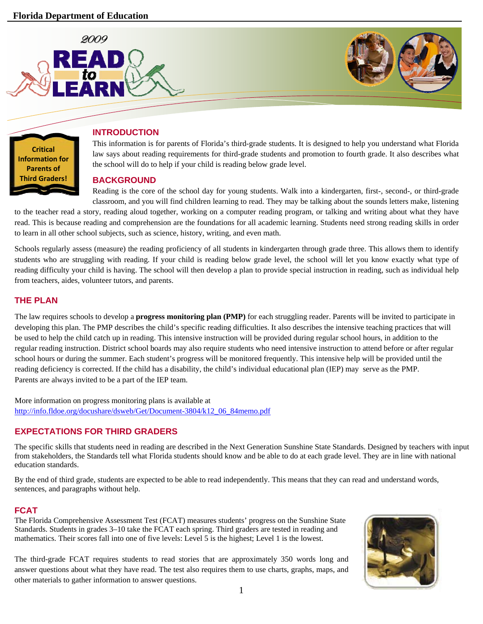



### **INTRODUCTION**

This information is for parents of Florida's third-grade students. It is designed to help you understand what Florida law says about reading requirements for third-grade students and promotion to fourth grade. It also describes what the school will do to help if your child is reading below grade level.

### **BACKGROUND**

Reading is the core of the school day for young students. Walk into a kindergarten, first-, second-, or third-grade classroom, and you will find children learning to read. They may be talking about the sounds letters make, listening

to the teacher read a story, reading aloud together, working on a computer reading program, or talking and writing about what they have read. This is because reading and comprehension are the foundations for all academic learning. Students need strong reading skills in order to learn in all other school subjects, such as science, history, writing, and even math.

Schools regularly assess (measure) the reading proficiency of all students in kindergarten through grade three. This allows them to identify students who are struggling with reading. If your child is reading below grade level, the school will let you know exactly what type of reading difficulty your child is having. The school will then develop a plan to provide special instruction in reading, such as individual help from teachers, aides, volunteer tutors, and parents.

## **THE PLAN**

The law requires schools to develop a **progress monitoring plan (PMP)** for each struggling reader. Parents will be invited to participate in developing this plan. The PMP describes the child's specific reading difficulties. It also describes the intensive teaching practices that will be used to help the child catch up in reading. This intensive instruction will be provided during regular school hours, in addition to the regular reading instruction. District school boards may also require students who need intensive instruction to attend before or after regular school hours or during the summer. Each student's progress will be monitored frequently. This intensive help will be provided until the reading deficiency is corrected. If the child has a disability, the child's individual educational plan (IEP) may serve as the PMP. Parents are always invited to be a part of the IEP team.

More information on progress monitoring plans is available at [http://info.fldoe.org/docushare/dsweb/Get/Document-3804/k12\\_06\\_84memo.pdf](http://info.fldoe.org/docushare/dsweb/Get/Document-3804/k12_06_84memo.pdf) 

# **EXPECTATIONS FOR THIRD GRADERS**

The specific skills that students need in reading are described in the Next Generation Sunshine State Standards. Designed by teachers with input from stakeholders, the Standards tell what Florida students should know and be able to do at each grade level. They are in line with national education standards.

By the end of third grade, students are expected to be able to read independently. This means that they can read and understand words, sentences, and paragraphs without help.

## **FCAT**

The Florida Comprehensive Assessment Test (FCAT) measures students' progress on the Sunshine State Standards. Students in grades 3–10 take the FCAT each spring. Third graders are tested in reading and mathematics. Their scores fall into one of five levels: Level 5 is the highest; Level 1 is the lowest.

The third-grade FCAT requires students to read stories that are approximately 350 words long and answer questions about what they have read. The test also requires them to use charts, graphs, maps, and other materials to gather information to answer questions.

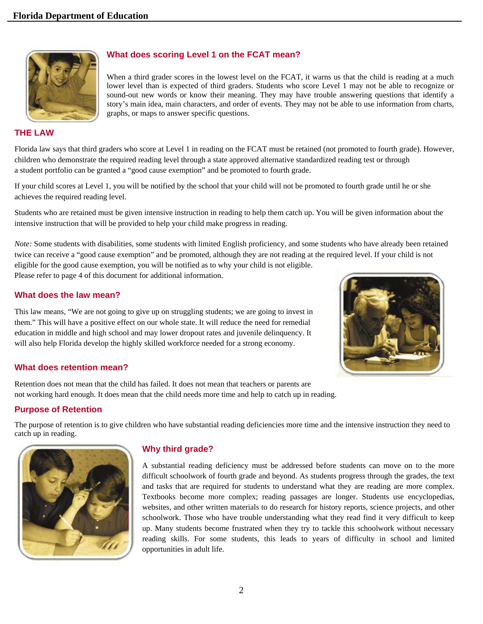

## **What does scoring Level 1 on the FCAT mean?**

When a third grader scores in the lowest level on the FCAT, it warns us that the child is reading at a much lower level than is expected of third graders. Students who score Level 1 may not be able to recognize or sound-out new words or know their meaning. They may have trouble answering questions that identify a story's main idea, main characters, and order of events. They may not be able to use information from charts, graphs, or maps to answer specific questions.

#### **THE LAW**

Florida law says that third graders who score at Level 1 in reading on the FCAT must be retained (not promoted to fourth grade). However, children who demonstrate the required reading level through a state approved alternative standardized reading test or through a student portfolio can be granted a "good cause exemption" and be promoted to fourth grade.

If your child scores at Level 1, you will be notified by the school that your child will not be promoted to fourth grade until he or she achieves the required reading level.

Students who are retained must be given intensive instruction in reading to help them catch up. You will be given information about the intensive instruction that will be provided to help your child make progress in reading.

*Note:* Some students with disabilities, some students with limited English proficiency, and some students who have already been retained twice can receive a "good cause exemption" and be promoted, although they are not reading at the required level. If your child is not eligible for the good cause exemption, you will be notified as to why your child is not eligible. Please refer to page 4 of this document for additional information.

#### **What does the law mean?**

This law means, "We are not going to give up on struggling students; we are going to invest in them." This will have a positive effect on our whole state. It will reduce the need for remedial education in middle and high school and may lower dropout rates and juvenile delinquency. It will also help Florida develop the highly skilled workforce needed for a strong economy.



### **What does retention mean?**

Retention does not mean that the child has failed. It does not mean that teachers or parents are not working hard enough. It does mean that the child needs more time and help to catch up in reading.

### **Purpose of Retention**

The purpose of retention is to give children who have substantial reading deficiencies more time and the intensive instruction they need to catch up in reading.



#### **Why third grade?**

A substantial reading deficiency must be addressed before students can move on to the more difficult schoolwork of fourth grade and beyond. As students progress through the grades, the text and tasks that are required for students to understand what they are reading are more complex. Textbooks become more complex; reading passages are longer. Students use encyclopedias, websites, and other written materials to do research for history reports, science projects, and other schoolwork. Those who have trouble understanding what they read find it very difficult to keep up. Many students become frustrated when they try to tackle this schoolwork without necessary reading skills. For some students, this leads to years of difficulty in school and limited opportunities in adult life.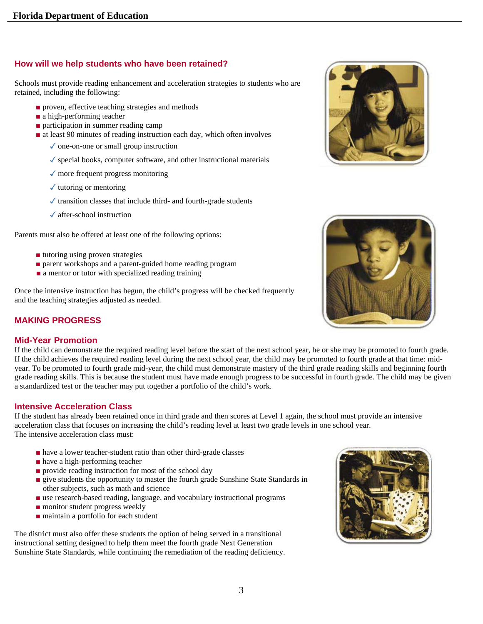## **How will we help students who have been retained?**

Schools must provide reading enhancement and acceleration strategies to students who are retained, including the following:

- proven, effective teaching strategies and methods
- a high-performing teacher
- participation in summer reading camp
- at least 90 minutes of reading instruction each day, which often involves
	- ✓ one-on-one or small group instruction
	- $\checkmark$  special books, computer software, and other instructional materials
	- ✓ more frequent progress monitoring
	- $\checkmark$  tutoring or mentoring
	- $\checkmark$  transition classes that include third- and fourth-grade students
	- ✓ after-school instruction

Parents must also be offered at least one of the following options:

- tutoring using proven strategies
- parent workshops and a parent-guided home reading program
- a mentor or tutor with specialized reading training

Once the intensive instruction has begun, the child's progress will be checked frequently and the teaching strategies adjusted as needed.

# **MAKING PROGRESS**

### **Mid-Year Promotion**

If the child can demonstrate the required reading level before the start of the next school year, he or she may be promoted to fourth grade. If the child achieves the required reading level during the next school year, the child may be promoted to fourth grade at that time: midyear. To be promoted to fourth grade mid-year, the child must demonstrate mastery of the third grade reading skills and beginning fourth grade reading skills. This is because the student must have made enough progress to be successful in fourth grade. The child may be given a standardized test or the teacher may put together a portfolio of the child's work.

### **Intensive Acceleration Class**

If the student has already been retained once in third grade and then scores at Level 1 again, the school must provide an intensive acceleration class that focuses on increasing the child's reading level at least two grade levels in one school year. The intensive acceleration class must:

- have a lower teacher-student ratio than other third-grade classes
- have a high-performing teacher
- provide reading instruction for most of the school day
- **Exercise Students the opportunity to master the fourth grade Sunshine State Standards in** other subjects, such as math and science
- use research-based reading, language, and vocabulary instructional programs
- monitor student progress weekly
- maintain a portfolio for each student

The district must also offer these students the option of being served in a transitional instructional setting designed to help them meet the fourth grade Next Generation Sunshine State Standards, while continuing the remediation of the reading deficiency.